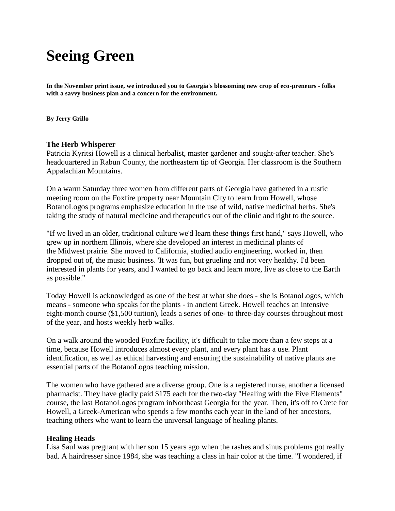## **Seeing Green**

**In the November print issue, we introduced you to Georgia's blossoming new crop of eco-preneurs - folks with a savvy business plan and a concern for the environment.**

**By Jerry Grillo**

## **The Herb Whisperer**

Patricia Kyritsi Howell is a clinical herbalist, master gardener and sought-after teacher. She's headquartered in Rabun County, the northeastern tip of Georgia. Her classroom is the Southern Appalachian Mountains.

On a warm Saturday three women from different parts of Georgia have gathered in a rustic meeting room on the Foxfire property near Mountain City to learn from Howell, whose BotanoLogos programs emphasize education in the use of wild, native medicinal herbs. She's taking the study of natural medicine and therapeutics out of the clinic and right to the source.

"If we lived in an older, traditional culture we'd learn these things first hand," says Howell, who grew up in northern Illinois, where she developed an interest in medicinal plants of the Midwest prairie. She moved to California, studied audio engineering, worked in, then dropped out of, the music business. 'It was fun, but grueling and not very healthy. I'd been interested in plants for years, and I wanted to go back and learn more, live as close to the Earth as possible."

Today Howell is acknowledged as one of the best at what she does - she is BotanoLogos, which means - someone who speaks for the plants - in ancient Greek. Howell teaches an intensive eight-month course (\$1,500 tuition), leads a series of one- to three-day courses throughout most of the year, and hosts weekly herb walks.

On a walk around the wooded Foxfire facility, it's difficult to take more than a few steps at a time, because Howell introduces almost every plant, and every plant has a use. Plant identification, as well as ethical harvesting and ensuring the sustainability of native plants are essential parts of the BotanoLogos teaching mission.

The women who have gathered are a diverse group. One is a registered nurse, another a licensed pharmacist. They have gladly paid \$175 each for the two-day "Healing with the Five Elements" course, the last BotanoLogos program inNortheast Georgia for the year. Then, it's off to Crete for Howell, a Greek-American who spends a few months each year in the land of her ancestors, teaching others who want to learn the universal language of healing plants.

## **Healing Heads**

Lisa Saul was pregnant with her son 15 years ago when the rashes and sinus problems got really bad. A hairdresser since 1984, she was teaching a class in hair color at the time. "I wondered, if